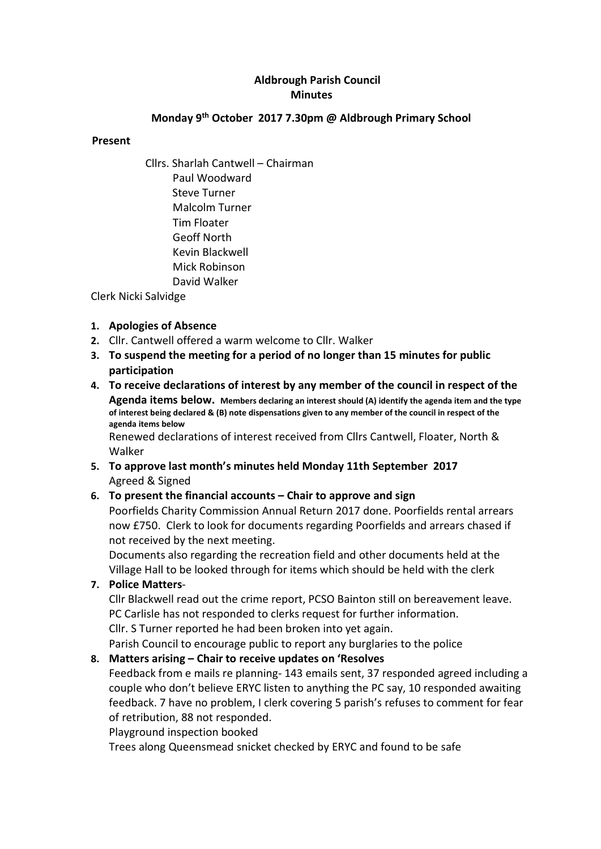# Aldbrough Parish Council **Minutes**

## Monday 9th October 2017 7.30pm @ Aldbrough Primary School

#### Present

Cllrs. Sharlah Cantwell – Chairman Paul Woodward Steve Turner Malcolm Turner Tim Floater Geoff North Kevin Blackwell Mick Robinson David Walker

Clerk Nicki Salvidge

### 1. Apologies of Absence

- 2. Cllr. Cantwell offered a warm welcome to Cllr. Walker
- 3. To suspend the meeting for a period of no longer than 15 minutes for public participation
- 4. To receive declarations of interest by any member of the council in respect of the Agenda items below. Members declaring an interest should (A) identify the agenda item and the type of interest being declared & (B) note dispensations given to any member of the council in respect of the agenda items below Renewed declarations of interest received from Cllrs Cantwell, Floater, North &
- 5. To approve last month's minutes held Monday 11th September 2017 Agreed & Signed

### 6. To present the financial accounts – Chair to approve and sign

Poorfields Charity Commission Annual Return 2017 done. Poorfields rental arrears now £750. Clerk to look for documents regarding Poorfields and arrears chased if not received by the next meeting.

Documents also regarding the recreation field and other documents held at the Village Hall to be looked through for items which should be held with the clerk

7. Police Matters-

Walker

Cllr Blackwell read out the crime report, PCSO Bainton still on bereavement leave. PC Carlisle has not responded to clerks request for further information. Cllr. S Turner reported he had been broken into yet again.

Parish Council to encourage public to report any burglaries to the police

### 8. Matters arising – Chair to receive updates on 'Resolves

Feedback from e mails re planning- 143 emails sent, 37 responded agreed including a couple who don't believe ERYC listen to anything the PC say, 10 responded awaiting feedback. 7 have no problem, I clerk covering 5 parish's refuses to comment for fear of retribution, 88 not responded.

Playground inspection booked

Trees along Queensmead snicket checked by ERYC and found to be safe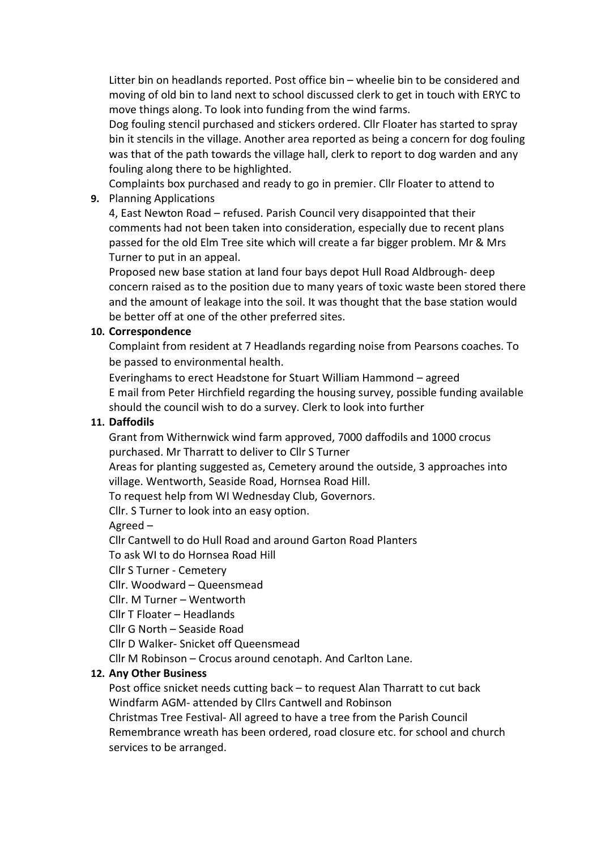Litter bin on headlands reported. Post office bin – wheelie bin to be considered and moving of old bin to land next to school discussed clerk to get in touch with ERYC to move things along. To look into funding from the wind farms.

Dog fouling stencil purchased and stickers ordered. Cllr Floater has started to spray bin it stencils in the village. Another area reported as being a concern for dog fouling was that of the path towards the village hall, clerk to report to dog warden and any fouling along there to be highlighted.

Complaints box purchased and ready to go in premier. Cllr Floater to attend to

9. Planning Applications

4, East Newton Road – refused. Parish Council very disappointed that their comments had not been taken into consideration, especially due to recent plans passed for the old Elm Tree site which will create a far bigger problem. Mr & Mrs Turner to put in an appeal.

Proposed new base station at land four bays depot Hull Road Aldbrough- deep concern raised as to the position due to many years of toxic waste been stored there and the amount of leakage into the soil. It was thought that the base station would be better off at one of the other preferred sites.

### 10. Correspondence

Complaint from resident at 7 Headlands regarding noise from Pearsons coaches. To be passed to environmental health.

Everinghams to erect Headstone for Stuart William Hammond – agreed E mail from Peter Hirchfield regarding the housing survey, possible funding available should the council wish to do a survey. Clerk to look into further

## 11. Daffodils

Grant from Withernwick wind farm approved, 7000 daffodils and 1000 crocus purchased. Mr Tharratt to deliver to Cllr S Turner

Areas for planting suggested as, Cemetery around the outside, 3 approaches into village. Wentworth, Seaside Road, Hornsea Road Hill.

To request help from WI Wednesday Club, Governors.

Cllr. S Turner to look into an easy option.

Agreed –

Cllr Cantwell to do Hull Road and around Garton Road Planters

To ask WI to do Hornsea Road Hill

Cllr S Turner - Cemetery

Cllr. Woodward – Queensmead

Cllr. M Turner – Wentworth

Cllr T Floater – Headlands

Cllr G North – Seaside Road

Cllr D Walker- Snicket off Queensmead

Cllr M Robinson – Crocus around cenotaph. And Carlton Lane.

# 12. Any Other Business

Post office snicket needs cutting back – to request Alan Tharratt to cut back Windfarm AGM- attended by Cllrs Cantwell and Robinson

Christmas Tree Festival- All agreed to have a tree from the Parish Council Remembrance wreath has been ordered, road closure etc. for school and church services to be arranged.